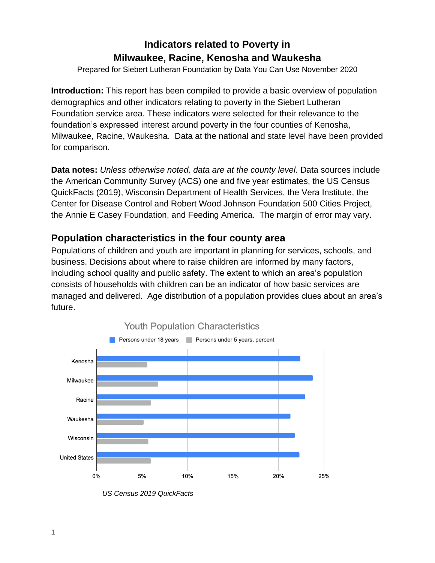Prepared for Siebert Lutheran Foundation by Data You Can Use November 2020

**Introduction:** This report has been compiled to provide a basic overview of population demographics and other indicators relating to poverty in the Siebert Lutheran Foundation service area. These indicators were selected for their relevance to the foundation's expressed interest around poverty in the four counties of Kenosha, Milwaukee, Racine, Waukesha. Data at the national and state level have been provided for comparison.

**Data notes:** *Unless otherwise noted, data are at the county level.* Data sources include the American Community Survey (ACS) one and five year estimates, the US Census QuickFacts (2019), Wisconsin Department of Health Services, the Vera Institute, the Center for Disease Control and Robert Wood Johnson Foundation 500 Cities Project, the Annie E Casey Foundation, and Feeding America. The margin of error may vary.

### **Population characteristics in the four county area**

Populations of children and youth are important in planning for services, schools, and business. Decisions about where to raise children are informed by many factors, including school quality and public safety. The extent to which an area's population consists of households with children can be an indicator of how basic services are managed and delivered. Age distribution of a population provides clues about an area's future.



*US Census 2019 QuickFacts*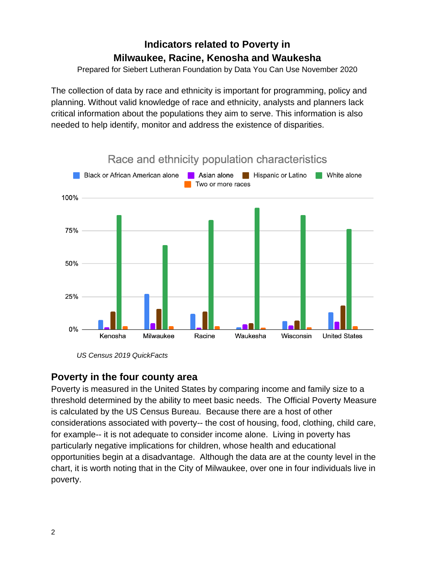Prepared for Siebert Lutheran Foundation by Data You Can Use November 2020

The collection of data by race and ethnicity is important for programming, policy and planning. Without valid knowledge of race and ethnicity, analysts and planners lack critical information about the populations they aim to serve. This information is also needed to help identify, monitor and address the existence of disparities.



*US Census 2019 QuickFacts*

### **Poverty in the four county area**

Poverty is measured in the United States by comparing income and family size to a threshold determined by the ability to meet basic needs. The Official Poverty Measure is calculated by the US Census Bureau. Because there are a host of other considerations associated with poverty-- the cost of housing, food, clothing, child care, for example-- it is not adequate to consider income alone. Living in poverty has particularly negative implications for children, whose health and educational opportunities begin at a disadvantage. Although the data are at the county level in the chart, it is worth noting that in the City of Milwaukee, over one in four individuals live in poverty.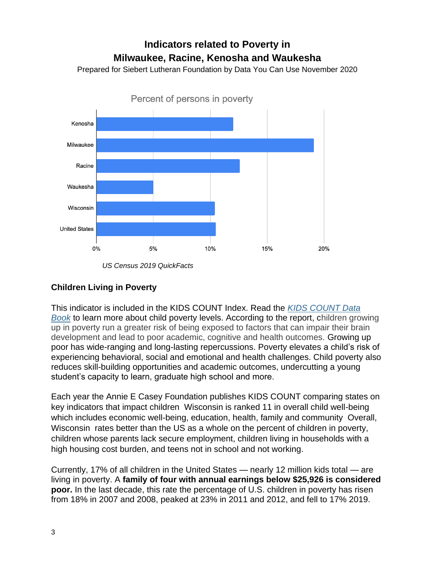Prepared for Siebert Lutheran Foundation by Data You Can Use November 2020



*US Census 2019 QuickFacts*

#### **Children Living in Poverty**

This indicator is included in the KIDS COUNT Index. Read the *[KIDS COUNT Data](https://www.aecf.org/resources/2019-kids-count-data-book/)  [Book](https://www.aecf.org/resources/2019-kids-count-data-book/)* to learn more about child poverty levels. According to the report, children growing up in poverty run a greater risk of being exposed to factors that can impair their brain development and lead to poor academic, cognitive and health outcomes. Growing up poor has wide-ranging and long-lasting repercussions. Poverty elevates a child's risk of experiencing behavioral, social and emotional and health challenges. Child poverty also reduces skill-building opportunities and academic outcomes, undercutting a young student's capacity to learn, graduate high school and more.

Each year the Annie E Casey Foundation publishes KIDS COUNT comparing states on key indicators that impact children Wisconsin is ranked 11 in overall child well-being which includes economic well-being, education, health, family and community Overall, Wisconsin rates better than the US as a whole on the percent of children in poverty, children whose parents lack secure employment, children living in households with a high housing cost burden, and teens not in school and not working.

Currently, 17% of all children in the United States — nearly 12 million kids total — are living in poverty. A **family of four with annual earnings below \$25,926 is considered poor.** In the last decade, this rate the percentage of U.S. children in poverty has risen from 18% in 2007 and 2008, peaked at 23% in 2011 and 2012, and fell to 17% 2019.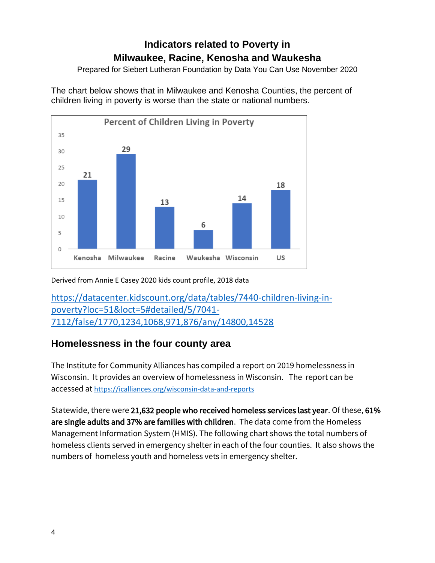Prepared for Siebert Lutheran Foundation by Data You Can Use November 2020

The chart below shows that in Milwaukee and Kenosha Counties, the percent of children living in poverty is worse than the state or national numbers.



Derived from Annie E Casey 2020 kids count profile, 2018 data

[https://datacenter.kidscount.org/data/tables/7440-children-living-in](https://datacenter.kidscount.org/data/tables/7440-children-living-in-poverty?loc=51&loct=5#detailed/5/7041-7112/false/1770,1234,1068,971,876/any/14800,14528)[poverty?loc=51&loct=5#detailed/5/7041-](https://datacenter.kidscount.org/data/tables/7440-children-living-in-poverty?loc=51&loct=5#detailed/5/7041-7112/false/1770,1234,1068,971,876/any/14800,14528) [7112/false/1770,1234,1068,971,876/any/14800,14528](https://datacenter.kidscount.org/data/tables/7440-children-living-in-poverty?loc=51&loct=5#detailed/5/7041-7112/false/1770,1234,1068,971,876/any/14800,14528)

### **Homelessness in the four county area**

The Institute for Community Alliances has compiled a report on 2019 homelessness in Wisconsin. It provides an overview of homelessness in Wisconsin. The report can be accessed at <https://icalliances.org/wisconsin-data-and-reports>

Statewide, there were 21,632 people who received homeless services last year. Of these, 61% are single adults and 37% are families with children. The data come from the Homeless Management Information System (HMIS). The following chart shows the total numbers of homeless clients served in emergency shelter in each of the four counties. It also shows the numbers of homeless youth and homeless vets in emergency shelter.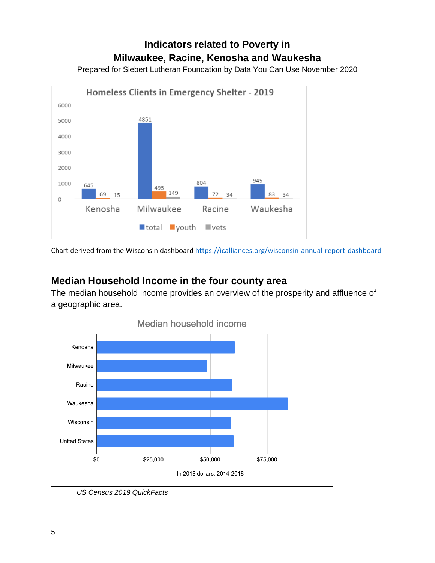Prepared for Siebert Lutheran Foundation by Data You Can Use November 2020



Chart derived from the Wisconsin dashboard<https://icalliances.org/wisconsin-annual-report-dashboard>

### **Median Household Income in the four county area**

The median household income provides an overview of the prosperity and affluence of a geographic area.



*US Census 2019 QuickFacts*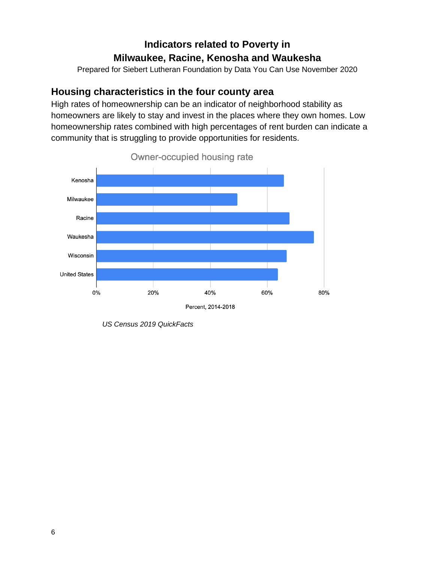Prepared for Siebert Lutheran Foundation by Data You Can Use November 2020

#### **Housing characteristics in the four county area**

High rates of homeownership can be an indicator of neighborhood stability as homeowners are likely to stay and invest in the places where they own homes. Low homeownership rates combined with high percentages of rent burden can indicate a community that is struggling to provide opportunities for residents.



*US Census 2019 QuickFacts*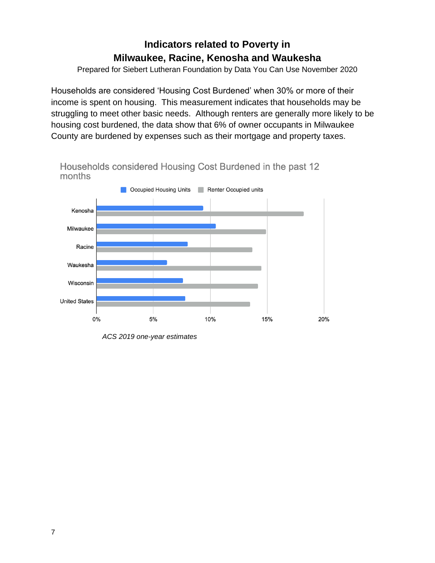Prepared for Siebert Lutheran Foundation by Data You Can Use November 2020

Households are considered 'Housing Cost Burdened' when 30% or more of their income is spent on housing. This measurement indicates that households may be struggling to meet other basic needs. Although renters are generally more likely to be housing cost burdened, the data show that 6% of owner occupants in Milwaukee County are burdened by expenses such as their mortgage and property taxes.



*ACS 2019 one-year estimates*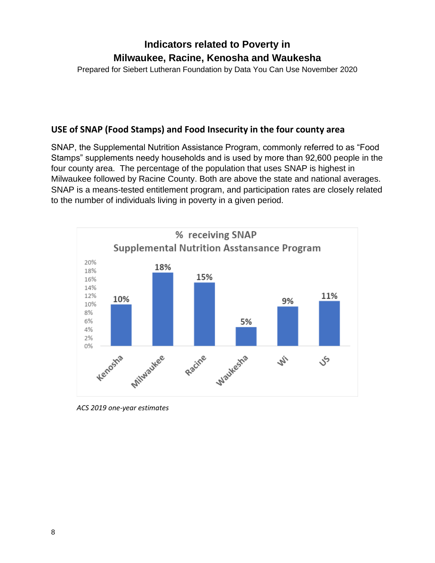Prepared for Siebert Lutheran Foundation by Data You Can Use November 2020

#### **USE of SNAP (Food Stamps) and Food Insecurity in the four county area**

SNAP, the Supplemental Nutrition Assistance Program, commonly referred to as "Food Stamps" supplements needy households and is used by more than 92,600 people in the four county area. The percentage of the population that uses SNAP is highest in Milwaukee followed by Racine County. Both are above the state and national averages. SNAP is a means-tested entitlement program, and participation rates are closely related to the number of individuals living in poverty in a given period.



*ACS 2019 one-year estimates*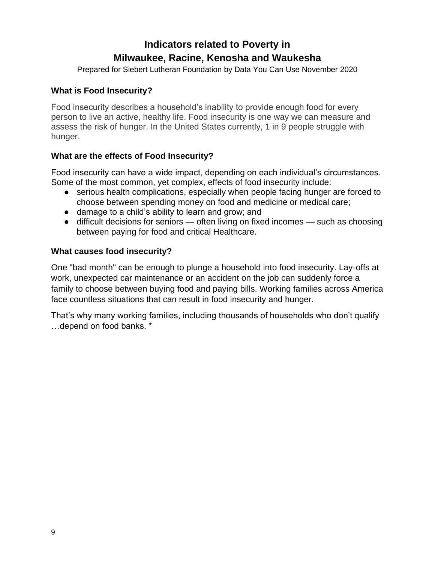Prepared for Siebert Lutheran Foundation by Data You Can Use November 2020

#### **What is Food Insecurity?**

Food insecurity describes a household's inability to provide enough food for every person to live an active, healthy life. Food insecurity is one way we can measure and assess the risk of hunger. In the United States currently, 1 in 9 people struggle with hunger.

#### **What are the effects of Food Insecurity?**

Food insecurity can have a wide impact, depending on each individual's circumstances. Some of the most common, yet complex, effects of food insecurity include:

- serious health complications, especially when people facing hunger are forced to choose between spending money on food and medicine or medical care;
- damage to a child's ability to learn and grow; and
- difficult decisions for seniors often living on fixed incomes such as choosing between paying for food and critical Healthcare.

#### **What causes food insecurity?**

One "bad month" can be enough to plunge a household into food insecurity. Lay-offs at work, unexpected car maintenance or an accident on the job can suddenly force a family to choose between buying food and paying bills. Working families across America face countless situations that can result in food insecurity and hunger.

That's why many working families, including thousands of households who don't qualify …depend on food banks. \*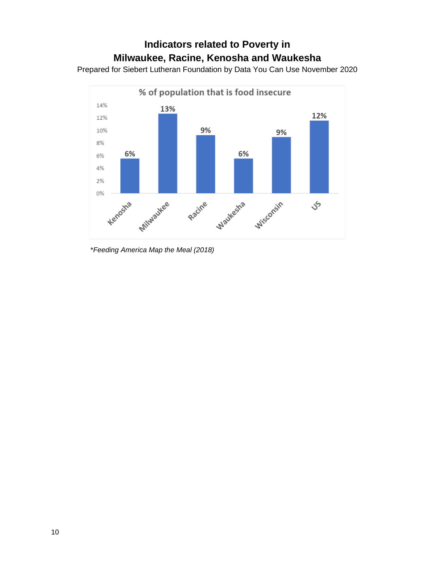Prepared for Siebert Lutheran Foundation by Data You Can Use November 2020



\**Feeding America Map the Meal (2018)*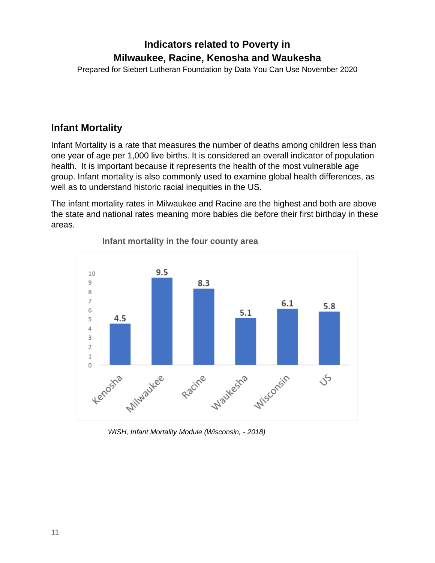Prepared for Siebert Lutheran Foundation by Data You Can Use November 2020

#### **Infant Mortality**

Infant Mortality is a rate that measures the number of deaths among children less than one year of age per 1,000 live births. It is considered an overall indicator of population health. It is important because it represents the health of the most vulnerable age group. Infant mortality is also commonly used to examine global health differences, as well as to understand historic racial inequities in the US.

The infant mortality rates in Milwaukee and Racine are the highest and both are above the state and national rates meaning more babies die before their first birthday in these areas.



**Infant mortality in the four county area**

 *WISH, Infant Mortality Module (Wisconsin, - 2018)*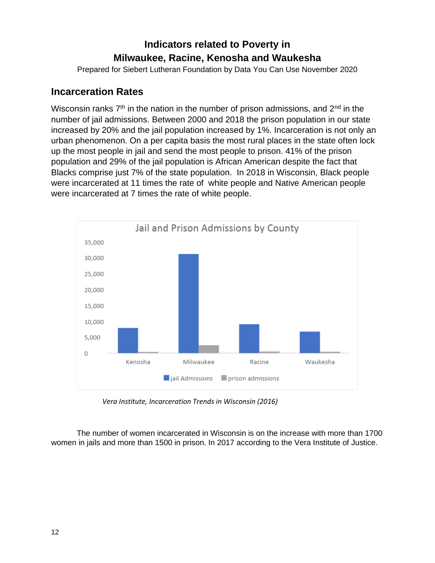Prepared for Siebert Lutheran Foundation by Data You Can Use November 2020

#### **Incarceration Rates**

Wisconsin ranks  $7<sup>th</sup>$  in the nation in the number of prison admissions, and  $2<sup>nd</sup>$  in the number of jail admissions. Between 2000 and 2018 the prison population in our state increased by 20% and the jail population increased by 1%. Incarceration is not only an urban phenomenon. On a per capita basis the most rural places in the state often lock up the most people in jail and send the most people to prison. 41% of the prison population and 29% of the jail population is African American despite the fact that Blacks comprise just 7% of the state population. In 2018 in Wisconsin, Black people were incarcerated at 11 times the rate of white people and Native American people were incarcerated at 7 times the rate of white people.



*Vera Institute, Incarceration Trends in Wisconsin (2016)*

The number of women incarcerated in Wisconsin is on the increase with more than 1700 women in jails and more than 1500 in prison. In 2017 according to the Vera Institute of Justice.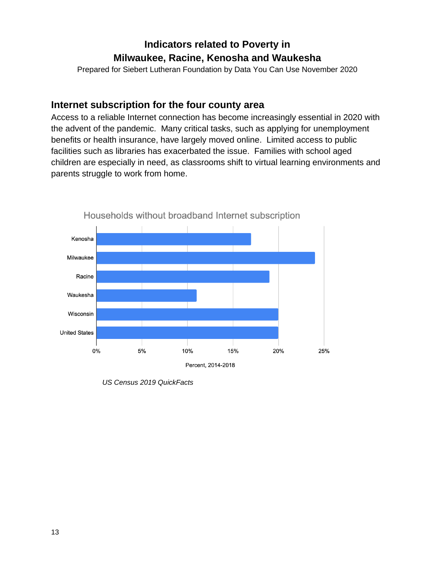Prepared for Siebert Lutheran Foundation by Data You Can Use November 2020

#### **Internet subscription for the four county area**

Access to a reliable Internet connection has become increasingly essential in 2020 with the advent of the pandemic. Many critical tasks, such as applying for unemployment benefits or health insurance, have largely moved online. Limited access to public facilities such as libraries has exacerbated the issue. Families with school aged children are especially in need, as classrooms shift to virtual learning environments and parents struggle to work from home.



*US Census 2019 QuickFacts*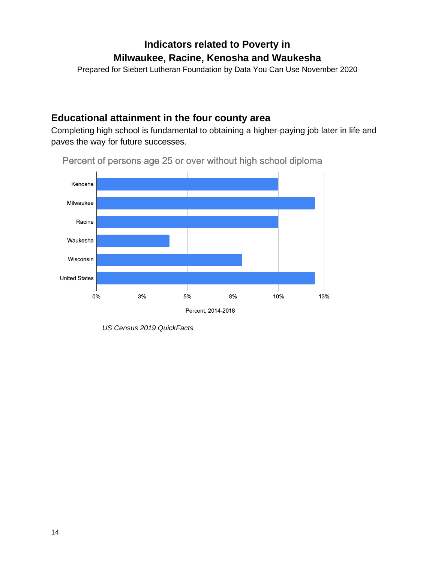Prepared for Siebert Lutheran Foundation by Data You Can Use November 2020

#### **Educational attainment in the four county area**

Completing high school is fundamental to obtaining a higher-paying job later in life and paves the way for future successes.



Percent of persons age 25 or over without high school diploma

*US Census 2019 QuickFacts*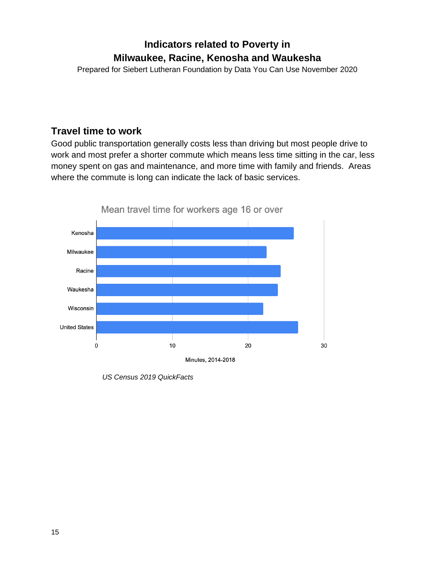Prepared for Siebert Lutheran Foundation by Data You Can Use November 2020

#### **Travel time to work**

Good public transportation generally costs less than driving but most people drive to work and most prefer a shorter commute which means less time sitting in the car, less money spent on gas and maintenance, and more time with family and friends. Areas where the commute is long can indicate the lack of basic services.



*US Census 2019 QuickFacts*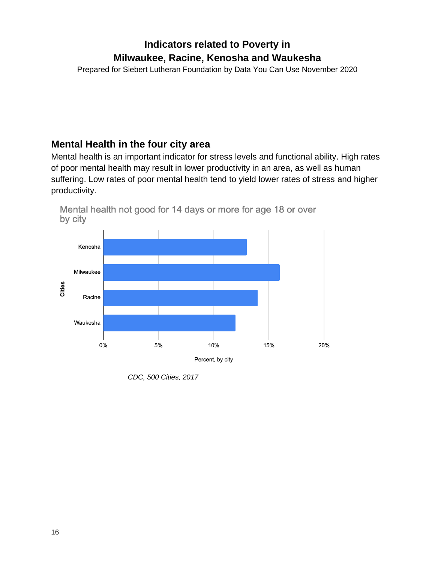Prepared for Siebert Lutheran Foundation by Data You Can Use November 2020

### **Mental Health in the four city area**

Mental health is an important indicator for stress levels and functional ability. High rates of poor mental health may result in lower productivity in an area, as well as human suffering. Low rates of poor mental health tend to yield lower rates of stress and higher productivity.



Mental health not good for 14 days or more for age 18 or over by city

*CDC, 500 Cities, 2017*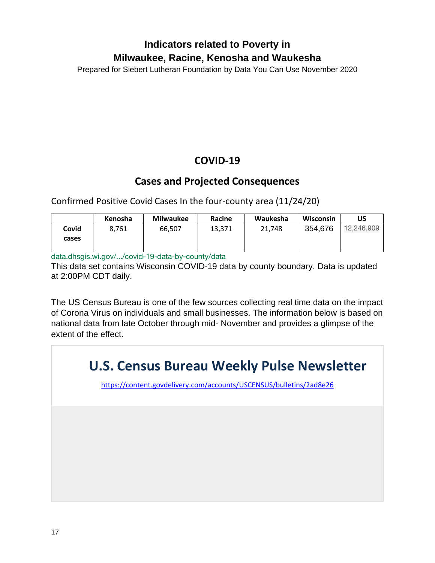Prepared for Siebert Lutheran Foundation by Data You Can Use November 2020

### **COVID-19**

### **Cases and Projected Consequences**

Confirmed Positive Covid Cases In the four-county area (11/24/20)

|       | Kenosha | <b>Milwaukee</b> | Racine | Waukesha | Wisconsin | US         |
|-------|---------|------------------|--------|----------|-----------|------------|
| Covid | 8.761   | 66,507           | 13,371 | 21,748   | 354,676   | 12.246.909 |
| cases |         |                  |        |          |           |            |
|       |         |                  |        |          |           |            |

data.dhsgis.wi.gov/.../covid-19-data-by-county/data

This data set contains Wisconsin COVID-19 data by county boundary. Data is updated at 2:00PM CDT daily.

The US Census Bureau is one of the few sources collecting real time data on the impact of Corona Virus on individuals and small businesses. The information below is based on national data from late October through mid- November and provides a glimpse of the extent of the effect.

# **U.S. Census Bureau Weekly Pulse Newsletter**

<https://content.govdelivery.com/accounts/USCENSUS/bulletins/2ad8e26>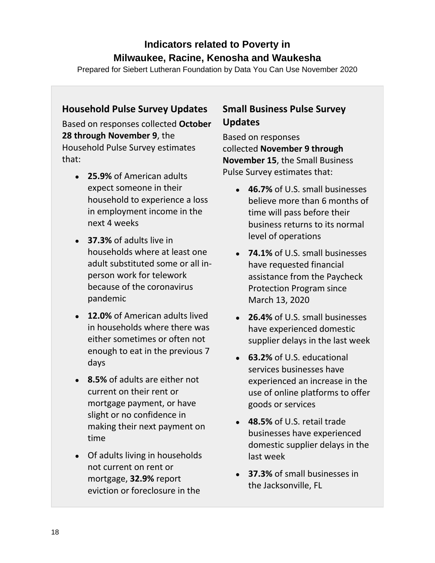Prepared for Siebert Lutheran Foundation by Data You Can Use November 2020

#### **Household Pulse Survey Updates**

Based on responses collected **October 28 through November 9**, the Household Pulse Survey estimates that:

- **25.9%** of American adults expect someone in their household to experience a loss in employment income in the next 4 weeks
- **37.3%** of adults live in households where at least one adult substituted some or all inperson work for telework because of the coronavirus pandemic
- **12.0%** of American adults lived in households where there was either sometimes or often not enough to eat in the previous 7 days
- **8.5%** of adults are either not current on their rent or mortgage payment, or have slight or no confidence in making their next payment on time
- Of adults living in households not current on rent or mortgage, **32.9%** report eviction or foreclosure in the

### **Small Business Pulse Survey Updates**

Based on responses collected **November 9 through November 15**, the Small Business Pulse Survey estimates that:

- **46.7%** of U.S. small businesses believe more than 6 months of time will pass before their business returns to its normal level of operations
- **74.1%** of U.S. small businesses have requested financial assistance from the Paycheck Protection Program since March 13, 2020
- **26.4%** of U.S. small businesses have experienced domestic supplier delays in the last week
- **63.2%** of U.S. educational services businesses have experienced an increase in the use of online platforms to offer goods or services
- **48.5%** of U.S. retail trade businesses have experienced domestic supplier delays in the last week
- **37.3%** of small businesses in the Jacksonville, FL